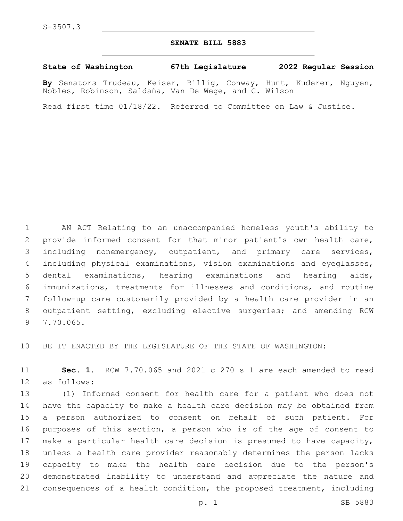## **SENATE BILL 5883**

## **State of Washington 67th Legislature 2022 Regular Session**

**By** Senators Trudeau, Keiser, Billig, Conway, Hunt, Kuderer, Nguyen, Nobles, Robinson, Saldaña, Van De Wege, and C. Wilson

Read first time 01/18/22. Referred to Committee on Law & Justice.

 AN ACT Relating to an unaccompanied homeless youth's ability to provide informed consent for that minor patient's own health care, including nonemergency, outpatient, and primary care services, including physical examinations, vision examinations and eyeglasses, dental examinations, hearing examinations and hearing aids, immunizations, treatments for illnesses and conditions, and routine follow-up care customarily provided by a health care provider in an outpatient setting, excluding elective surgeries; and amending RCW 7.70.065.9

BE IT ENACTED BY THE LEGISLATURE OF THE STATE OF WASHINGTON:

 **Sec. 1.** RCW 7.70.065 and 2021 c 270 s 1 are each amended to read 12 as follows:

 (1) Informed consent for health care for a patient who does not have the capacity to make a health care decision may be obtained from a person authorized to consent on behalf of such patient. For purposes of this section, a person who is of the age of consent to make a particular health care decision is presumed to have capacity, unless a health care provider reasonably determines the person lacks capacity to make the health care decision due to the person's demonstrated inability to understand and appreciate the nature and consequences of a health condition, the proposed treatment, including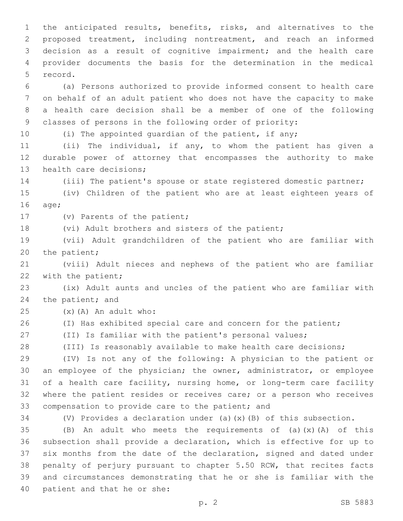the anticipated results, benefits, risks, and alternatives to the proposed treatment, including nontreatment, and reach an informed decision as a result of cognitive impairment; and the health care provider documents the basis for the determination in the medical 5 record.

 (a) Persons authorized to provide informed consent to health care on behalf of an adult patient who does not have the capacity to make a health care decision shall be a member of one of the following classes of persons in the following order of priority:

10 (i) The appointed quardian of the patient, if any;

 (ii) The individual, if any, to whom the patient has given a durable power of attorney that encompasses the authority to make 13 health care decisions;

(iii) The patient's spouse or state registered domestic partner;

 (iv) Children of the patient who are at least eighteen years of 16 age;

17 (v) Parents of the patient;

18 (vi) Adult brothers and sisters of the patient;

 (vii) Adult grandchildren of the patient who are familiar with 20 the patient;

 (viii) Adult nieces and nephews of the patient who are familiar 22 with the patient;

 (ix) Adult aunts and uncles of the patient who are familiar with 24 the patient; and

 $(25)$   $(x)$   $(A)$  An adult who:

26 (I) Has exhibited special care and concern for the patient;

(II) Is familiar with the patient's personal values;

(III) Is reasonably available to make health care decisions;

 (IV) Is not any of the following: A physician to the patient or an employee of the physician; the owner, administrator, or employee of a health care facility, nursing home, or long-term care facility where the patient resides or receives care; or a person who receives 33 compensation to provide care to the patient; and

(V) Provides a declaration under (a)(x)(B) of this subsection.

 $(B)$  An adult who meets the requirements of (a)(x)(A) of this subsection shall provide a declaration, which is effective for up to six months from the date of the declaration, signed and dated under penalty of perjury pursuant to chapter 5.50 RCW, that recites facts and circumstances demonstrating that he or she is familiar with the 40 patient and that he or she: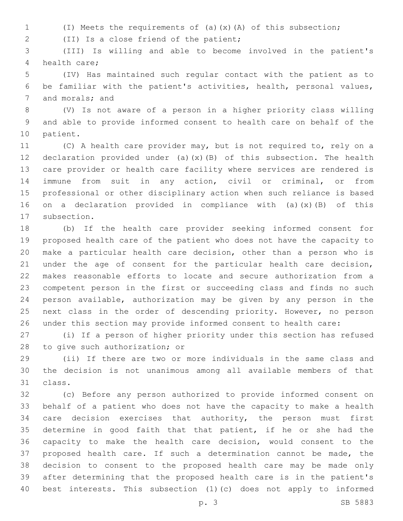(I) Meets the requirements of (a)(x)(A) of this subsection;

(II) Is a close friend of the patient;2

 (III) Is willing and able to become involved in the patient's 4 health care:

 (IV) Has maintained such regular contact with the patient as to be familiar with the patient's activities, health, personal values, 7 and morals; and

 (V) Is not aware of a person in a higher priority class willing and able to provide informed consent to health care on behalf of the 10 patient.

 (C) A health care provider may, but is not required to, rely on a declaration provided under (a)(x)(B) of this subsection. The health care provider or health care facility where services are rendered is immune from suit in any action, civil or criminal, or from professional or other disciplinary action when such reliance is based on a declaration provided in compliance with (a)(x)(B) of this 17 subsection.

 (b) If the health care provider seeking informed consent for proposed health care of the patient who does not have the capacity to make a particular health care decision, other than a person who is under the age of consent for the particular health care decision, makes reasonable efforts to locate and secure authorization from a competent person in the first or succeeding class and finds no such person available, authorization may be given by any person in the next class in the order of descending priority. However, no person under this section may provide informed consent to health care:

 (i) If a person of higher priority under this section has refused 28 to give such authorization; or

 (ii) If there are two or more individuals in the same class and the decision is not unanimous among all available members of that 31 class.

 (c) Before any person authorized to provide informed consent on behalf of a patient who does not have the capacity to make a health 34 care decision exercises that authority, the person must first determine in good faith that that patient, if he or she had the capacity to make the health care decision, would consent to the proposed health care. If such a determination cannot be made, the decision to consent to the proposed health care may be made only after determining that the proposed health care is in the patient's best interests. This subsection (1)(c) does not apply to informed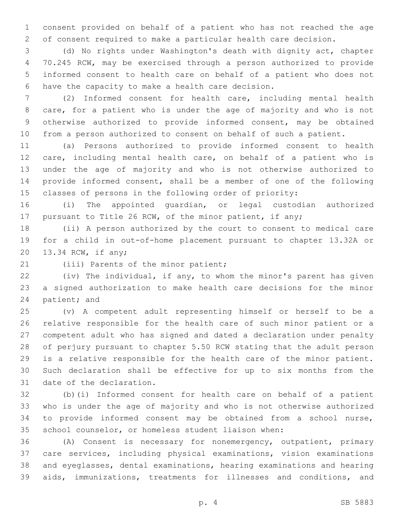consent provided on behalf of a patient who has not reached the age of consent required to make a particular health care decision.

 (d) No rights under Washington's death with dignity act, chapter 70.245 RCW, may be exercised through a person authorized to provide informed consent to health care on behalf of a patient who does not 6 have the capacity to make a health care decision.

 (2) Informed consent for health care, including mental health care, for a patient who is under the age of majority and who is not otherwise authorized to provide informed consent, may be obtained from a person authorized to consent on behalf of such a patient.

 (a) Persons authorized to provide informed consent to health care, including mental health care, on behalf of a patient who is under the age of majority and who is not otherwise authorized to provide informed consent, shall be a member of one of the following classes of persons in the following order of priority:

 (i) The appointed guardian, or legal custodian authorized pursuant to Title 26 RCW, of the minor patient, if any;

 (ii) A person authorized by the court to consent to medical care for a child in out-of-home placement pursuant to chapter 13.32A or 20 13.34 RCW, if any;

21 (iii) Parents of the minor patient;

 (iv) The individual, if any, to whom the minor's parent has given a signed authorization to make health care decisions for the minor 24 patient; and

 (v) A competent adult representing himself or herself to be a relative responsible for the health care of such minor patient or a competent adult who has signed and dated a declaration under penalty of perjury pursuant to chapter 5.50 RCW stating that the adult person is a relative responsible for the health care of the minor patient. Such declaration shall be effective for up to six months from the 31 date of the declaration.

 (b)(i) Informed consent for health care on behalf of a patient who is under the age of majority and who is not otherwise authorized to provide informed consent may be obtained from a school nurse, school counselor, or homeless student liaison when:

 (A) Consent is necessary for nonemergency, outpatient, primary care services, including physical examinations, vision examinations and eyeglasses, dental examinations, hearing examinations and hearing aids, immunizations, treatments for illnesses and conditions, and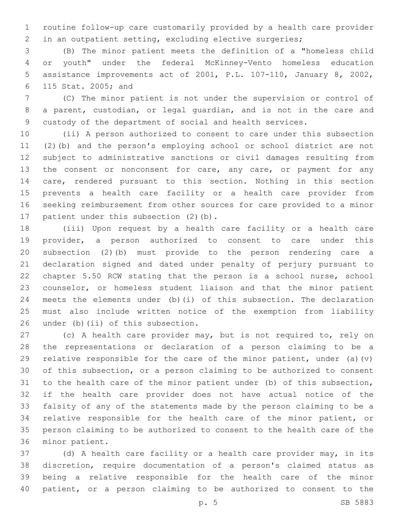routine follow-up care customarily provided by a health care provider in an outpatient setting, excluding elective surgeries;

 (B) The minor patient meets the definition of a "homeless child or youth" under the federal McKinney-Vento homeless education assistance improvements act of 2001, P.L. 107-110, January 8, 2002, 115 Stat. 2005; and6

 (C) The minor patient is not under the supervision or control of a parent, custodian, or legal guardian, and is not in the care and custody of the department of social and health services.

 (ii) A person authorized to consent to care under this subsection (2)(b) and the person's employing school or school district are not subject to administrative sanctions or civil damages resulting from 13 the consent or nonconsent for care, any care, or payment for any care, rendered pursuant to this section. Nothing in this section prevents a health care facility or a health care provider from seeking reimbursement from other sources for care provided to a minor 17 patient under this subsection (2)(b).

 (iii) Upon request by a health care facility or a health care provider, a person authorized to consent to care under this subsection (2)(b) must provide to the person rendering care a declaration signed and dated under penalty of perjury pursuant to chapter 5.50 RCW stating that the person is a school nurse, school counselor, or homeless student liaison and that the minor patient meets the elements under (b)(i) of this subsection. The declaration must also include written notice of the exemption from liability 26 under (b)(ii) of this subsection.

 (c) A health care provider may, but is not required to, rely on the representations or declaration of a person claiming to be a 29 relative responsible for the care of the minor patient, under (a)(v) of this subsection, or a person claiming to be authorized to consent to the health care of the minor patient under (b) of this subsection, if the health care provider does not have actual notice of the falsity of any of the statements made by the person claiming to be a relative responsible for the health care of the minor patient, or person claiming to be authorized to consent to the health care of the 36 minor patient.

 (d) A health care facility or a health care provider may, in its discretion, require documentation of a person's claimed status as being a relative responsible for the health care of the minor patient, or a person claiming to be authorized to consent to the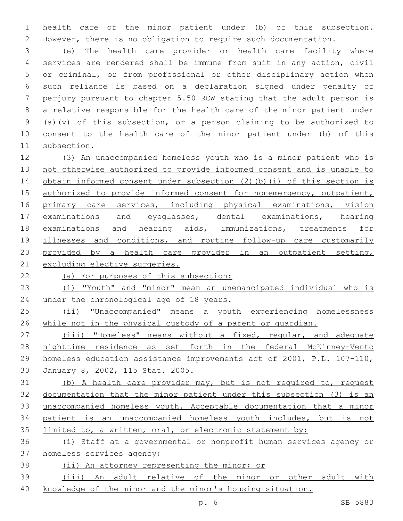health care of the minor patient under (b) of this subsection. However, there is no obligation to require such documentation.

 (e) The health care provider or health care facility where services are rendered shall be immune from suit in any action, civil or criminal, or from professional or other disciplinary action when such reliance is based on a declaration signed under penalty of perjury pursuant to chapter 5.50 RCW stating that the adult person is a relative responsible for the health care of the minor patient under (a)(v) of this subsection, or a person claiming to be authorized to consent to the health care of the minor patient under (b) of this 11 subsection.

 (3) An unaccompanied homeless youth who is a minor patient who is 13 not otherwise authorized to provide informed consent and is unable to 14 obtain informed consent under subsection (2)(b)(i) of this section is authorized to provide informed consent for nonemergency, outpatient, 16 primary care services, including physical examinations, vision examinations and eyeglasses, dental examinations, hearing examinations and hearing aids, immunizations, treatments for 19 illnesses and conditions, and routine follow-up care customarily 20 provided by a health care provider in an outpatient setting, excluding elective surgeries.

(a) For purposes of this subsection:

 (i) "Youth" and "minor" mean an unemancipated individual who is 24 under the chronological age of 18 years.

 (ii) "Unaccompanied" means a youth experiencing homelessness while not in the physical custody of a parent or guardian.

 (iii) "Homeless" means without a fixed, regular, and adequate nighttime residence as set forth in the federal McKinney-Vento homeless education assistance improvements act of 2001, P.L. 107-110, January 8, 2002, 115 Stat. 2005.

31 (b) A health care provider may, but is not required to, request documentation that the minor patient under this subsection (3) is an unaccompanied homeless youth. Acceptable documentation that a minor patient is an unaccompanied homeless youth includes, but is not limited to, a written, oral, or electronic statement by:

 (i) Staff at a governmental or nonprofit human services agency or homeless services agency;

(ii) An attorney representing the minor; or

 (iii) An adult relative of the minor or other adult with knowledge of the minor and the minor's housing situation.